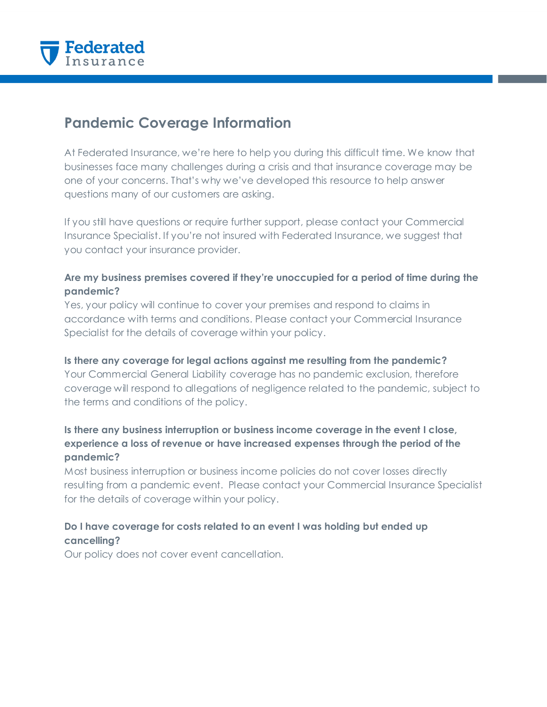

# **Pandemic Coverage Information**

At Federated Insurance, we're here to help you during this difficult time. We know that businesses face many challenges during a crisis and that insurance coverage may be one of your concerns. That's why we've developed this resource to help answer questions many of our customers are asking.

If you still have questions or require further support, please contact your Commercial Insurance Specialist. If you're not insured with Federated Insurance, we suggest that you contact your insurance provider.

## **Are my business premises covered if they're unoccupied for a period of time during the pandemic?**

Yes, your policy will continue to cover your premises and respond to claims in accordance with terms and conditions. Please contact your Commercial Insurance Specialist for the details of coverage within your policy.

### **Is there any coverage for legal actions against me resulting from the pandemic?**

Your Commercial General Liability coverage has no pandemic exclusion, therefore coverage will respond to allegations of negligence related to the pandemic, subject to the terms and conditions of the policy.

# **Is there any business interruption or business income coverage in the event I close, experience a loss of revenue or have increased expenses through the period of the pandemic?**

Most business interruption or business income policies do not cover losses directly resulting from a pandemic event. Please contact your Commercial Insurance Specialist for the details of coverage within your policy.

# **Do I have coverage for costs related to an event I was holding but ended up cancelling?**

Our policy does not cover event cancellation.